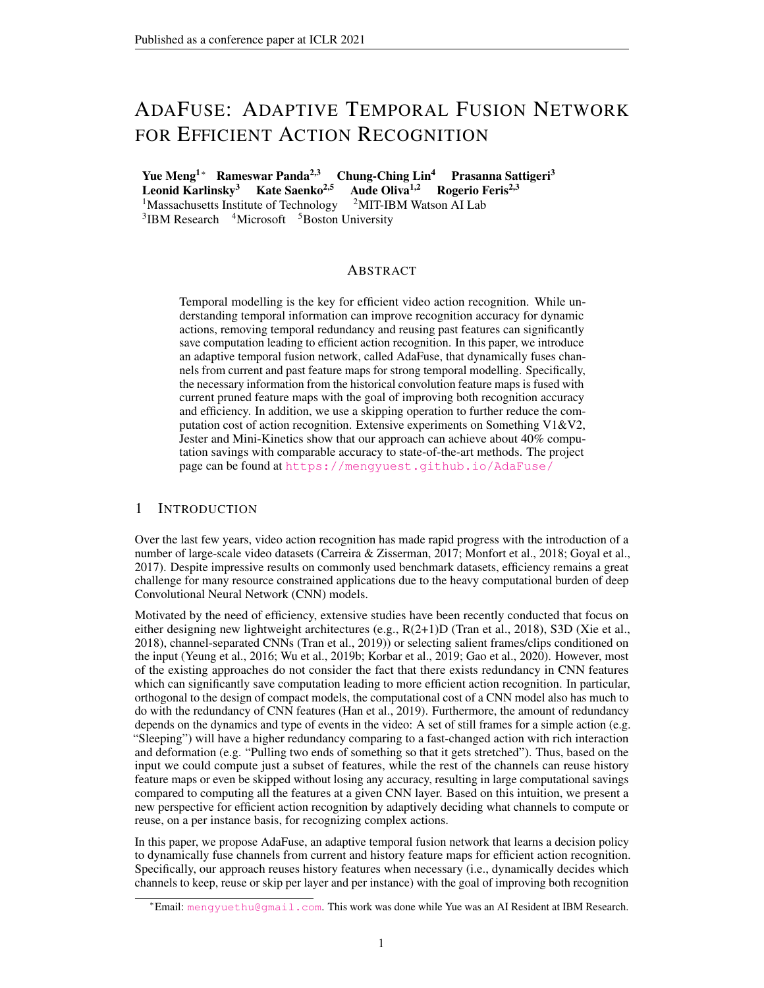# ADAFUSE: ADAPTIVE TEMPORAL FUSION NETWORK FOR EFFICIENT ACTION RECOGNITION

Yue Meng<sup>1∗</sup> Rameswar Panda<sup>2,3</sup> Chung-Ching Lin<sup>4</sup> Prasanna Sattigeri<sup>3</sup><br>Leonid Karlinsky<sup>3</sup> Kate Saenko<sup>2,5</sup> Aude Oliva<sup>1,2</sup> Rogerio Feris<sup>2,3</sup> **Leonid Karlinsky<sup>3</sup> Kate Saenko<sup>2,5</sup> Aude Oliva<sup>1,2</sup> Rogerio F<sup>1</sup>Massachusetts Institute of Technology <sup>2</sup>MIT-IBM Watson AI Lab** <sup>1</sup>Massachusetts Institute of Technology <sup>3</sup>IBM Research <sup>4</sup>Microsoft <sup>5</sup>Boston University

# **ABSTRACT**

Temporal modelling is the key for efficient video action recognition. While understanding temporal information can improve recognition accuracy for dynamic actions, removing temporal redundancy and reusing past features can significantly save computation leading to efficient action recognition. In this paper, we introduce an adaptive temporal fusion network, called AdaFuse, that dynamically fuses channels from current and past feature maps for strong temporal modelling. Specifically, the necessary information from the historical convolution feature maps is fused with current pruned feature maps with the goal of improving both recognition accuracy and efficiency. In addition, we use a skipping operation to further reduce the computation cost of action recognition. Extensive experiments on Something V1&V2, Jester and Mini-Kinetics show that our approach can achieve about 40% computation savings with comparable accuracy to state-of-the-art methods. The project page can be found at <https://mengyuest.github.io/AdaFuse/>

# 1 INTRODUCTION

Over the last few years, video action recognition has made rapid progress with the introduction of a number of large-scale video datasets [\(Carreira & Zisserman,](#page-9-0) [2017;](#page-9-0) [Monfort et al.,](#page-11-0) [2018;](#page-11-0) [Goyal et al.,](#page-10-0) [2017\)](#page-10-0). Despite impressive results on commonly used benchmark datasets, efficiency remains a great challenge for many resource constrained applications due to the heavy computational burden of deep Convolutional Neural Network (CNN) models.

Motivated by the need of efficiency, extensive studies have been recently conducted that focus on either designing new lightweight architectures (e.g., R(2+1)D [\(Tran et al.,](#page-11-1) [2018\)](#page-11-1), S3D [\(Xie et al.,](#page-12-0) [2018\)](#page-12-0), channel-separated CNNs [\(Tran et al.,](#page-11-2) [2019\)](#page-11-2)) or selecting salient frames/clips conditioned on the input [\(Yeung et al.,](#page-12-1) [2016;](#page-12-1) [Wu et al.,](#page-12-2) [2019b;](#page-12-2) [Korbar et al.,](#page-10-1) [2019;](#page-10-1) [Gao et al.,](#page-9-1) [2020\)](#page-9-1). However, most of the existing approaches do not consider the fact that there exists redundancy in CNN features which can significantly save computation leading to more efficient action recognition. In particular, orthogonal to the design of compact models, the computational cost of a CNN model also has much to do with the redundancy of CNN features [\(Han et al.,](#page-10-2) [2019\)](#page-10-2). Furthermore, the amount of redundancy depends on the dynamics and type of events in the video: A set of still frames for a simple action (e.g. "Sleeping") will have a higher redundancy comparing to a fast-changed action with rich interaction and deformation (e.g. "Pulling two ends of something so that it gets stretched"). Thus, based on the input we could compute just a subset of features, while the rest of the channels can reuse history feature maps or even be skipped without losing any accuracy, resulting in large computational savings compared to computing all the features at a given CNN layer. Based on this intuition, we present a new perspective for efficient action recognition by adaptively deciding what channels to compute or reuse, on a per instance basis, for recognizing complex actions.

In this paper, we propose AdaFuse, an adaptive temporal fusion network that learns a decision policy to dynamically fuse channels from current and history feature maps for efficient action recognition. Specifically, our approach reuses history features when necessary (i.e., dynamically decides which channels to keep, reuse or skip per layer and per instance) with the goal of improving both recognition

<sup>∗</sup>Email: <mengyuethu@gmail.com>. This work was done while Yue was an AI Resident at IBM Research.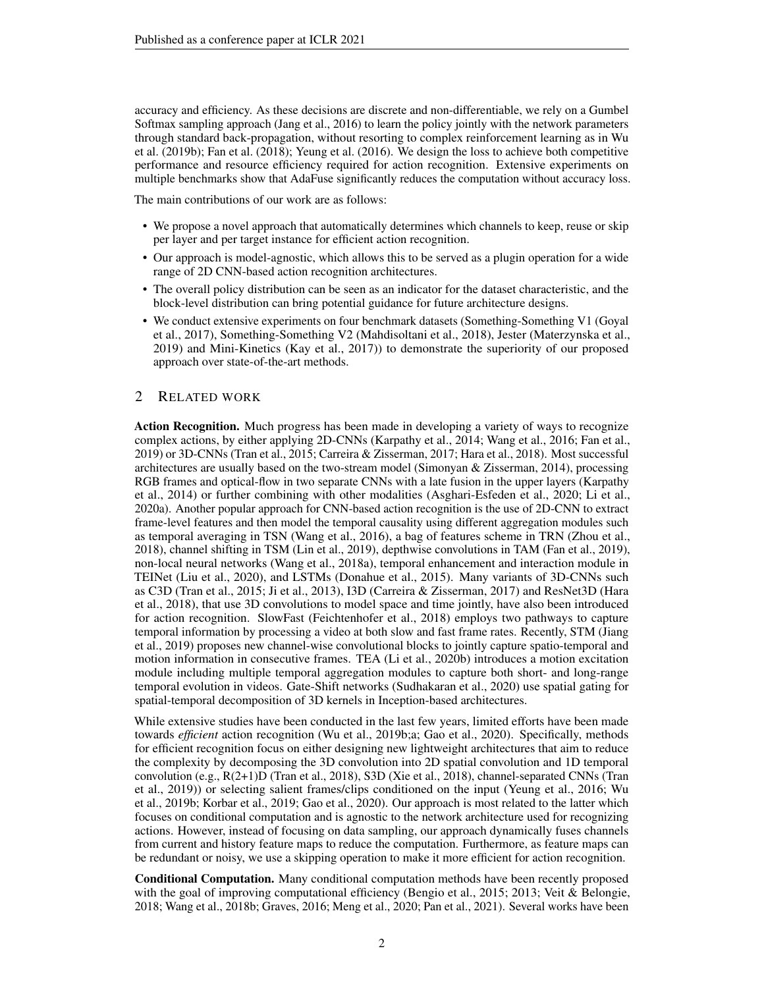accuracy and efficiency. As these decisions are discrete and non-differentiable, we rely on a Gumbel Softmax sampling approach [\(Jang et al.,](#page-10-3) [2016\)](#page-10-3) to learn the policy jointly with the network parameters through standard back-propagation, without resorting to complex reinforcement learning as in [Wu](#page-12-2) [et al.](#page-12-2) [\(2019b\)](#page-12-2); [Fan et al.](#page-9-2) [\(2018\)](#page-9-2); [Yeung et al.](#page-12-1) [\(2016\)](#page-12-1). We design the loss to achieve both competitive performance and resource efficiency required for action recognition. Extensive experiments on multiple benchmarks show that AdaFuse significantly reduces the computation without accuracy loss.

The main contributions of our work are as follows:

- We propose a novel approach that automatically determines which channels to keep, reuse or skip per layer and per target instance for efficient action recognition.
- Our approach is model-agnostic, which allows this to be served as a plugin operation for a wide range of 2D CNN-based action recognition architectures.
- The overall policy distribution can be seen as an indicator for the dataset characteristic, and the block-level distribution can bring potential guidance for future architecture designs.
- We conduct extensive experiments on four benchmark datasets (Something-Something V1 [\(Goyal](#page-10-0) [et al.,](#page-10-0) [2017\)](#page-10-0), Something-Something V2 [\(Mahdisoltani et al.,](#page-11-3) [2018\)](#page-11-3), Jester [\(Materzynska et al.,](#page-11-4) [2019\)](#page-11-4) and Mini-Kinetics [\(Kay et al.,](#page-10-4) [2017\)](#page-10-4)) to demonstrate the superiority of our proposed approach over state-of-the-art methods.

#### 2 RELATED WORK

Action Recognition. Much progress has been made in developing a variety of ways to recognize complex actions, by either applying 2D-CNNs [\(Karpathy et al.,](#page-10-5) [2014;](#page-10-5) [Wang et al.,](#page-12-3) [2016;](#page-12-3) [Fan et al.,](#page-9-3) [2019\)](#page-9-3) or 3D-CNNs [\(Tran et al.,](#page-11-5) [2015;](#page-11-5) [Carreira & Zisserman,](#page-9-0) [2017;](#page-9-0) [Hara et al.,](#page-10-6) [2018\)](#page-10-6). Most successful architectures are usually based on the two-stream model [\(Simonyan & Zisserman,](#page-11-6) [2014\)](#page-11-6), processing RGB frames and optical-flow in two separate CNNs with a late fusion in the upper layers [\(Karpathy](#page-10-5) [et al.,](#page-10-5) [2014\)](#page-10-5) or further combining with other modalities [\(Asghari-Esfeden et al.,](#page-9-4) [2020;](#page-9-4) [Li et al.,](#page-10-7) [2020a\)](#page-10-7). Another popular approach for CNN-based action recognition is the use of 2D-CNN to extract frame-level features and then model the temporal causality using different aggregation modules such as temporal averaging in TSN [\(Wang et al.,](#page-12-3) [2016\)](#page-12-3), a bag of features scheme in TRN [\(Zhou et al.,](#page-12-4) [2018\)](#page-12-4), channel shifting in TSM [\(Lin et al.,](#page-11-7) [2019\)](#page-11-7), depthwise convolutions in TAM [\(Fan et al.,](#page-9-3) [2019\)](#page-9-3), non-local neural networks [\(Wang et al.,](#page-12-5) [2018a\)](#page-12-5), temporal enhancement and interaction module in TEINet [\(Liu et al.,](#page-11-8) [2020\)](#page-11-8), and LSTMs [\(Donahue et al.,](#page-9-5) [2015\)](#page-9-5). Many variants of 3D-CNNs such as C3D [\(Tran et al.,](#page-11-5) [2015;](#page-11-5) [Ji et al.,](#page-10-8) [2013\)](#page-10-8), I3D [\(Carreira & Zisserman,](#page-9-0) [2017\)](#page-9-0) and ResNet3D [\(Hara](#page-10-6) [et al.,](#page-10-6) [2018\)](#page-10-6), that use 3D convolutions to model space and time jointly, have also been introduced for action recognition. SlowFast [\(Feichtenhofer et al.,](#page-9-6) [2018\)](#page-9-6) employs two pathways to capture temporal information by processing a video at both slow and fast frame rates. Recently, STM [\(Jiang](#page-10-9) [et al.,](#page-10-9) [2019\)](#page-10-9) proposes new channel-wise convolutional blocks to jointly capture spatio-temporal and motion information in consecutive frames. TEA [\(Li et al.,](#page-10-10) [2020b\)](#page-10-10) introduces a motion excitation module including multiple temporal aggregation modules to capture both short- and long-range temporal evolution in videos. Gate-Shift networks [\(Sudhakaran et al.,](#page-11-9) [2020\)](#page-11-9) use spatial gating for spatial-temporal decomposition of 3D kernels in Inception-based architectures.

While extensive studies have been conducted in the last few years, limited efforts have been made towards *efficient* action recognition [\(Wu et al.,](#page-12-2) [2019b;](#page-12-2)[a;](#page-12-6) [Gao et al.,](#page-9-1) [2020\)](#page-9-1). Specifically, methods for efficient recognition focus on either designing new lightweight architectures that aim to reduce the complexity by decomposing the 3D convolution into 2D spatial convolution and 1D temporal convolution (e.g., R(2+1)D [\(Tran et al.,](#page-11-1) [2018\)](#page-11-1), S3D [\(Xie et al.,](#page-12-0) [2018\)](#page-12-0), channel-separated CNNs [\(Tran](#page-11-2) [et al.,](#page-11-2) [2019\)](#page-11-2)) or selecting salient frames/clips conditioned on the input [\(Yeung et al.,](#page-12-1) [2016;](#page-12-1) [Wu](#page-12-2) [et al.,](#page-12-2) [2019b;](#page-12-2) [Korbar et al.,](#page-10-1) [2019;](#page-10-1) [Gao et al.,](#page-9-1) [2020\)](#page-9-1). Our approach is most related to the latter which focuses on conditional computation and is agnostic to the network architecture used for recognizing actions. However, instead of focusing on data sampling, our approach dynamically fuses channels from current and history feature maps to reduce the computation. Furthermore, as feature maps can be redundant or noisy, we use a skipping operation to make it more efficient for action recognition.

Conditional Computation. Many conditional computation methods have been recently proposed with the goal of improving computational efficiency [\(Bengio et al.,](#page-9-7) [2015;](#page-9-7) [2013;](#page-9-8) [Veit & Belongie,](#page-11-10) [2018;](#page-11-10) [Wang et al.,](#page-12-7) [2018b;](#page-12-7) [Graves,](#page-10-11) [2016;](#page-10-11) [Meng et al.,](#page-11-11) [2020;](#page-11-11) [Pan et al.,](#page-11-12) [2021\)](#page-11-12). Several works have been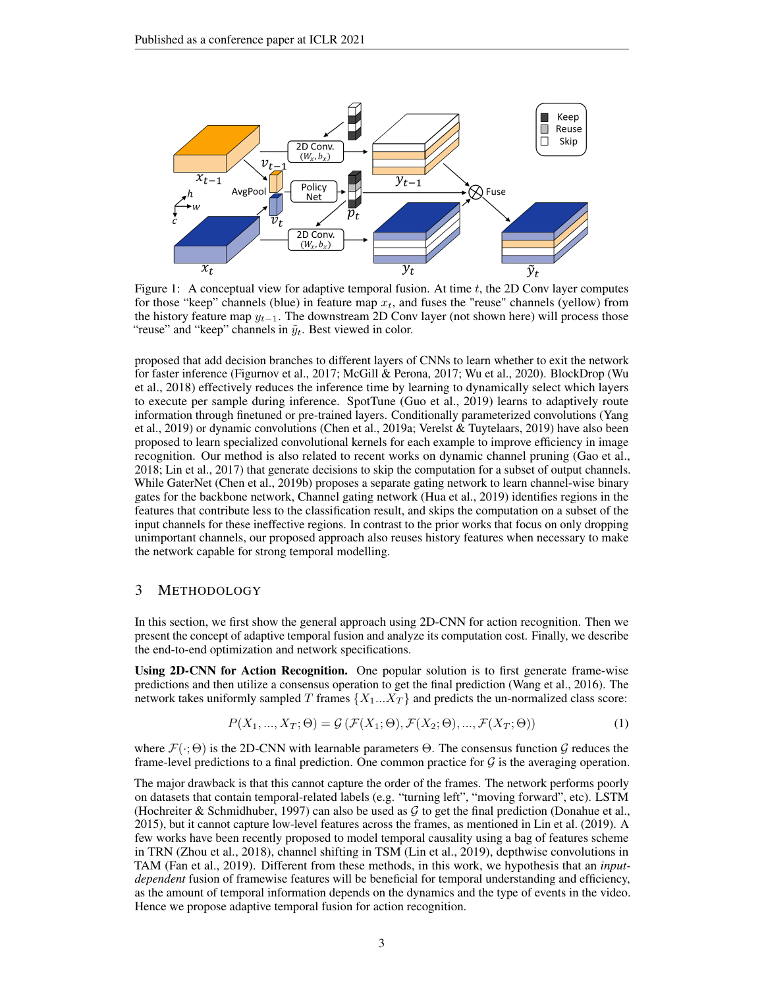

<span id="page-2-0"></span>Figure 1: A conceptual view for adaptive temporal fusion. At time  $t$ , the 2D Conv layer computes for those "keep" channels (blue) in feature map  $x_t$ , and fuses the "reuse" channels (yellow) from the history feature map  $y_{t-1}$ . The downstream 2D Conv layer (not shown here) will process those "reuse" and "keep" channels in  $\tilde{y}_t$ . Best viewed in color.

proposed that add decision branches to different layers of CNNs to learn whether to exit the network for faster inference [\(Figurnov et al.,](#page-9-9) [2017;](#page-9-9) [McGill & Perona,](#page-11-13) [2017;](#page-11-13) [Wu et al.,](#page-12-8) [2020\)](#page-12-8). BlockDrop [\(Wu](#page-12-9) [et al.,](#page-12-9) [2018\)](#page-12-9) effectively reduces the inference time by learning to dynamically select which layers to execute per sample during inference. SpotTune [\(Guo et al.,](#page-10-12) [2019\)](#page-10-12) learns to adaptively route information through finetuned or pre-trained layers. Conditionally parameterized convolutions [\(Yang](#page-12-10) [et al.,](#page-12-10) [2019\)](#page-12-10) or dynamic convolutions [\(Chen et al.,](#page-9-10) [2019a;](#page-9-10) [Verelst & Tuytelaars,](#page-12-11) [2019\)](#page-12-11) have also been proposed to learn specialized convolutional kernels for each example to improve efficiency in image recognition. Our method is also related to recent works on dynamic channel pruning [\(Gao et al.,](#page-9-11) [2018;](#page-9-11) [Lin et al.,](#page-11-14) [2017\)](#page-11-14) that generate decisions to skip the computation for a subset of output channels. While GaterNet [\(Chen et al.,](#page-9-12) [2019b\)](#page-9-12) proposes a separate gating network to learn channel-wise binary gates for the backbone network, Channel gating network [\(Hua et al.,](#page-10-13) [2019\)](#page-10-13) identifies regions in the features that contribute less to the classification result, and skips the computation on a subset of the input channels for these ineffective regions. In contrast to the prior works that focus on only dropping unimportant channels, our proposed approach also reuses history features when necessary to make the network capable for strong temporal modelling.

## 3 METHODOLOGY

In this section, we first show the general approach using 2D-CNN for action recognition. Then we present the concept of adaptive temporal fusion and analyze its computation cost. Finally, we describe the end-to-end optimization and network specifications.

Using 2D-CNN for Action Recognition. One popular solution is to first generate frame-wise predictions and then utilize a consensus operation to get the final prediction [\(Wang et al.,](#page-12-3) [2016\)](#page-12-3). The network takes uniformly sampled T frames  $\{X_1...X_T\}$  and predicts the un-normalized class score:

$$
P(X_1, ..., X_T; \Theta) = \mathcal{G}\left(\mathcal{F}(X_1; \Theta), \mathcal{F}(X_2; \Theta), ..., \mathcal{F}(X_T; \Theta)\right)
$$
\n(1)

where  $\mathcal{F}(\cdot;\Theta)$  is the 2D-CNN with learnable parameters  $\Theta$ . The consensus function G reduces the frame-level predictions to a final prediction. One common practice for  $\mathcal G$  is the averaging operation.

The major drawback is that this cannot capture the order of the frames. The network performs poorly on datasets that contain temporal-related labels (e.g. "turning left", "moving forward", etc). LSTM [\(Hochreiter & Schmidhuber,](#page-10-14) [1997\)](#page-10-14) can also be used as  $G$  to get the final prediction [\(Donahue et al.,](#page-9-5) [2015\)](#page-9-5), but it cannot capture low-level features across the frames, as mentioned in [Lin et al.](#page-11-7) [\(2019\)](#page-11-7). A few works have been recently proposed to model temporal causality using a bag of features scheme in TRN [\(Zhou et al.,](#page-12-4) [2018\)](#page-12-4), channel shifting in TSM [\(Lin et al.,](#page-11-7) [2019\)](#page-11-7), depthwise convolutions in TAM [\(Fan et al.,](#page-9-3) [2019\)](#page-9-3). Different from these methods, in this work, we hypothesis that an *inputdependent* fusion of framewise features will be beneficial for temporal understanding and efficiency, as the amount of temporal information depends on the dynamics and the type of events in the video. Hence we propose adaptive temporal fusion for action recognition.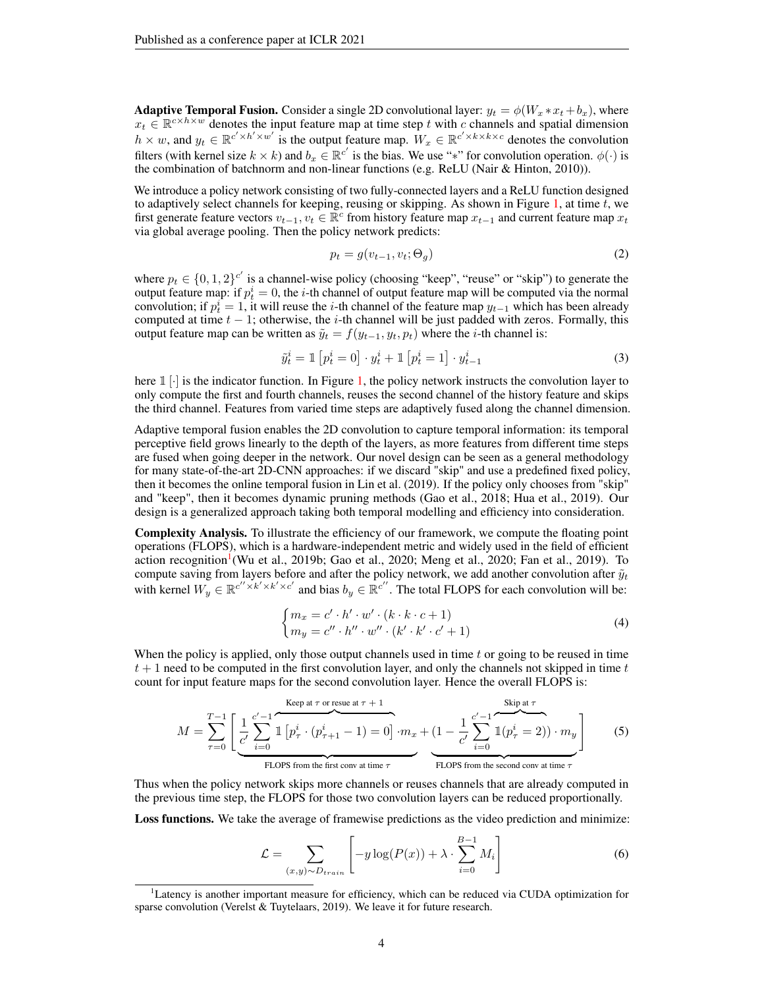**Adaptive Temporal Fusion.** Consider a single 2D convolutional layer:  $y_t = \phi(W_x * x_t + b_x)$ , where  $x_t \in \mathbb{R}^{c \times h \times w}$  denotes the input feature map at time step t with c channels and spatial dimension  $h \times w$ , and  $y_t \in \mathbb{R}^{c' \times h' \times w'}$  is the output feature map.  $W_x \in \mathbb{R}^{c' \times k \times k \times c}$  denotes the convolution filters (with kernel size  $k \times k$ ) and  $b_x \in \mathbb{R}^{c'}$  is the bias. We use "\*" for convolution operation.  $\phi(\cdot)$  is the combination of batchnorm and non-linear functions (e.g. ReLU [\(Nair & Hinton,](#page-11-15) [2010\)](#page-11-15)).

We introduce a policy network consisting of two fully-connected layers and a ReLU function designed to adaptively select channels for keeping, reusing or skipping. As shown in Figure [1,](#page-2-0) at time  $t$ , we first generate feature vectors  $v_{t-1}, v_t \in \mathbb{R}^c$  from history feature map  $x_{t-1}$  and current feature map  $x_t$ via global average pooling. Then the policy network predicts:

$$
p_t = g(v_{t-1}, v_t; \Theta_g) \tag{2}
$$

where  $p_t \in \{0, 1, 2\}^{c'}$  is a channel-wise policy (choosing "keep", "reuse" or "skip") to generate the output feature map: if  $p_t^i = 0$ , the *i*-th channel of output feature map will be computed via the normal convolution; if  $p_t^i = 1$ , it will reuse the *i*-th channel of the feature map  $y_{t-1}$  which has been already computed at time  $t - 1$ ; otherwise, the i-th channel will be just padded with zeros. Formally, this output feature map can be written as  $\tilde{y}_t = f(y_{t-1}, y_t, p_t)$  where the *i*-th channel is:

<span id="page-3-1"></span>
$$
\tilde{y}_t^i = \mathbb{1} \left[ p_t^i = 0 \right] \cdot y_t^i + \mathbb{1} \left[ p_t^i = 1 \right] \cdot y_{t-1}^i \tag{3}
$$

here  $\mathbb{1} \cdot$  is the indicator function. In Figure [1,](#page-2-0) the policy network instructs the convolution layer to only compute the first and fourth channels, reuses the second channel of the history feature and skips the third channel. Features from varied time steps are adaptively fused along the channel dimension.

Adaptive temporal fusion enables the 2D convolution to capture temporal information: its temporal perceptive field grows linearly to the depth of the layers, as more features from different time steps are fused when going deeper in the network. Our novel design can be seen as a general methodology for many state-of-the-art 2D-CNN approaches: if we discard "skip" and use a predefined fixed policy, then it becomes the online temporal fusion in [Lin et al.](#page-11-7) [\(2019\)](#page-11-7). If the policy only chooses from "skip" and "keep", then it becomes dynamic pruning methods [\(Gao et al.,](#page-9-11) [2018;](#page-9-11) [Hua et al.,](#page-10-13) [2019\)](#page-10-13). Our design is a generalized approach taking both temporal modelling and efficiency into consideration.

Complexity Analysis. To illustrate the efficiency of our framework, we compute the floating point operations (FLOPS), which is a hardware-independent metric and widely used in the field of efficient action recognition<sup>[1](#page-3-0)</sup> [\(Wu et al.,](#page-12-2) [2019b;](#page-12-2) [Gao et al.,](#page-9-1) [2020;](#page-11-11) [Meng et al.,](#page-11-11) 2020; [Fan et al.,](#page-9-3) [2019\)](#page-9-3). To compute saving from layers before and after the policy network, we add another convolution after  $\tilde{y}_t$ with kernel  $W_y \in \mathbb{R}^{c'' \times k' \times k' \times c'}$  and bias  $b_y \in \mathbb{R}^{c''}$ . The total FLOPS for each convolution will be:

$$
\begin{cases} m_x = c' \cdot h' \cdot w' \cdot (k \cdot k \cdot c + 1) \\ m_y = c'' \cdot h'' \cdot w'' \cdot (k' \cdot k' \cdot c' + 1) \end{cases}
$$
\n(4)

When the policy is applied, only those output channels used in time  $t$  or going to be reused in time  $t + 1$  need to be computed in the first convolution layer, and only the channels not skipped in time t count for input feature maps for the second convolution layer. Hence the overall FLOPS is:

<span id="page-3-2"></span>
$$
M = \sum_{\tau=0}^{T-1} \left[ \underbrace{\frac{1}{c'} \sum_{i=0}^{c'-1} \mathbb{1} \left[ p_{\tau}^i \cdot (p_{\tau+1}^i - 1) = 0 \right] \cdot m_x}_{\text{FLOPS from the first conv at time } \tau} + \underbrace{(1 - \frac{1}{c'} \sum_{i=0}^{c'-1} \mathbb{1} (p_{\tau}^i = 2)) \cdot m_y}_{\text{FLOPS from the second conv at time } \tau} \right]
$$
(5)

Thus when the policy network skips more channels or reuses channels that are already computed in the previous time step, the FLOPS for those two convolution layers can be reduced proportionally.

Loss functions. We take the average of framewise predictions as the video prediction and minimize:

$$
\mathcal{L} = \sum_{(x,y)\sim D_{train}} \left[ -y \log(P(x)) + \lambda \cdot \sum_{i=0}^{B-1} M_i \right]
$$
 (6)

<span id="page-3-0"></span><sup>&</sup>lt;sup>1</sup>Latency is another important measure for efficiency, which can be reduced via CUDA optimization for sparse convolution [\(Verelst & Tuytelaars,](#page-12-11) [2019\)](#page-12-11). We leave it for future research.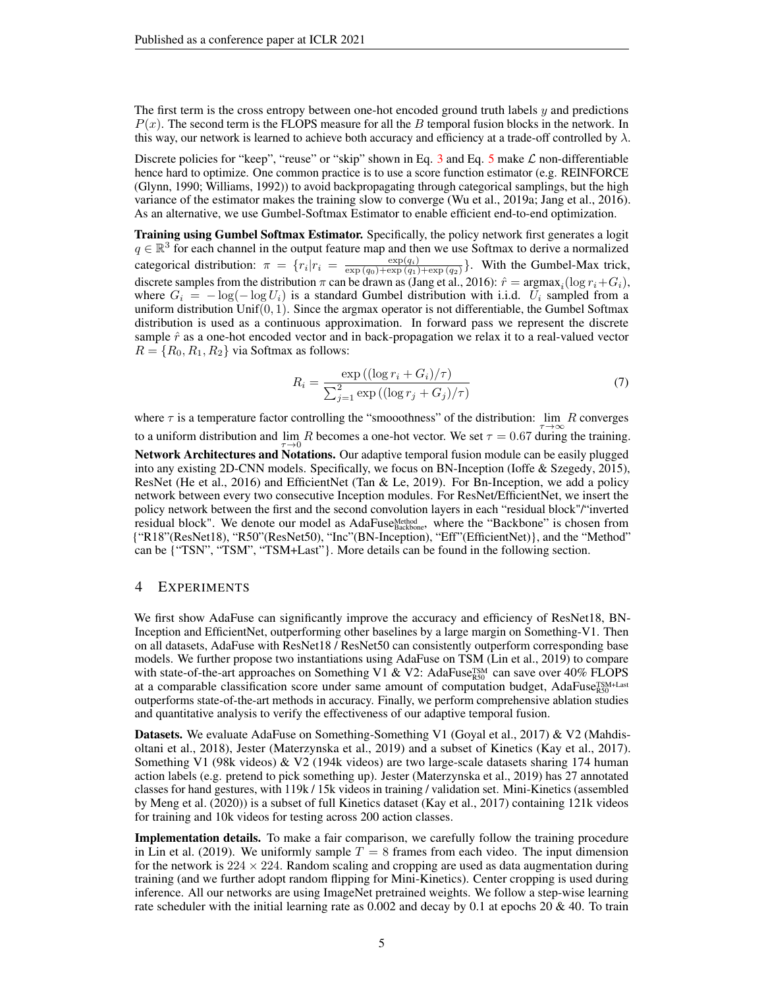The first term is the cross entropy between one-hot encoded ground truth labels  $y$  and predictions  $P(x)$ . The second term is the FLOPS measure for all the B temporal fusion blocks in the network. In this way, our network is learned to achieve both accuracy and efficiency at a trade-off controlled by  $\lambda$ .

Discrete policies for "keep", "reuse" or "skip" shown in Eq. [3](#page-3-1) and Eq. [5](#page-3-2) make  $\mathcal L$  non-differentiable hence hard to optimize. One common practice is to use a score function estimator (e.g. REINFORCE [\(Glynn,](#page-9-13) [1990;](#page-9-13) [Williams,](#page-12-12) [1992\)](#page-12-12)) to avoid backpropagating through categorical samplings, but the high variance of the estimator makes the training slow to converge [\(Wu et al.,](#page-12-6) [2019a;](#page-12-6) [Jang et al.,](#page-10-3) [2016\)](#page-10-3). As an alternative, we use Gumbel-Softmax Estimator to enable efficient end-to-end optimization.

Training using Gumbel Softmax Estimator. Specifically, the policy network first generates a logit  $q \in \mathbb{R}^3$  for each channel in the output feature map and then we use Softmax to derive a normalized categorical distribution:  $\pi = \{r_i | r_i = \frac{\exp(q_i)}{\exp(q_0) + \exp(q_1)}\}$  $\frac{\exp(q_i)}{\exp(q_0)+\exp(q_1)+\exp(q_2)}$ . With the Gumbel-Max trick, discrete samples from the distribution  $\pi$  can be drawn as [\(Jang et al.,](#page-10-3) [2016\)](#page-10-3):  $\hat{r} = \text{argmax}_i (\log r_i + G_i)$ , where  $G_i = -\log(-\log U_i)$  is a standard Gumbel distribution with i.i.d.  $U_i$  sampled from a uniform distribution Unif $(0, 1)$ . Since the argmax operator is not differentiable, the Gumbel Softmax distribution is used as a continuous approximation. In forward pass we represent the discrete sample  $\hat{r}$  as a one-hot encoded vector and in back-propagation we relax it to a real-valued vector  $R = \{R_0, R_1, R_2\}$  via Softmax as follows:

$$
R_i = \frac{\exp\left((\log r_i + G_i)/\tau\right)}{\sum_{j=1}^2 \exp\left((\log r_j + G_j)/\tau\right)}
$$
(7)

where  $\tau$  is a temperature factor controlling the "smooothness" of the distribution: lim R converges to a uniform distribution and  $\lim_{\tau \to 0} R$  becomes a one-hot vector. We set  $\tau = 0.67$  during the training. Network Architectures and Notations. Our adaptive temporal fusion module can be easily plugged into any existing 2D-CNN models. Specifically, we focus on BN-Inception [\(Ioffe & Szegedy,](#page-10-15) [2015\)](#page-10-15), ResNet [\(He et al.,](#page-10-16) [2016\)](#page-10-16) and EfficientNet [\(Tan & Le,](#page-11-16) [2019\)](#page-11-16). For Bn-Inception, we add a policy network between every two consecutive Inception modules. For ResNet/EfficientNet, we insert the policy network between the first and the second convolution layers in each "residual block"/"inverted residual block". We denote our model as AdaFuse<sub>Backbone</sub>, where the "Backbone" is chosen from {"R18"(ResNet18), "R50"(ResNet50), "Inc"(BN-Inception), "Eff"(EfficientNet)}, and the "Method" can be {"TSN", "TSM", "TSM+Last"}. More details can be found in the following section.

### 4 EXPERIMENTS

We first show AdaFuse can significantly improve the accuracy and efficiency of ResNet18, BN-Inception and EfficientNet, outperforming other baselines by a large margin on Something-V1. Then on all datasets, AdaFuse with ResNet18 / ResNet50 can consistently outperform corresponding base models. We further propose two instantiations using AdaFuse on TSM [\(Lin et al.,](#page-11-7) [2019\)](#page-11-7) to compare with state-of-the-art approaches on Something V1 & V2: AdaFuse $_{RS0}^{TSM}$  can save over 40% FLOPS at a comparable classification score under same amount of computation budget, AdaFuse<sup>TSM+Last</sup> outperforms state-of-the-art methods in accuracy. Finally, we perform comprehensive ablation studies and quantitative analysis to verify the effectiveness of our adaptive temporal fusion.

Datasets. We evaluate AdaFuse on Something-Something V1 [\(Goyal et al.,](#page-10-0) [2017\)](#page-10-0) & V2 [\(Mahdis](#page-11-3)[oltani et al.,](#page-11-3) [2018\)](#page-11-3), Jester [\(Materzynska et al.,](#page-11-4) [2019\)](#page-11-4) and a subset of Kinetics [\(Kay et al.,](#page-10-4) [2017\)](#page-10-4). Something V1 (98k videos) & V2 (194k videos) are two large-scale datasets sharing 174 human action labels (e.g. pretend to pick something up). Jester [\(Materzynska et al.,](#page-11-4) [2019\)](#page-11-4) has 27 annotated classes for hand gestures, with 119k / 15k videos in training / validation set. Mini-Kinetics (assembled by [Meng et al.](#page-11-11) [\(2020\)](#page-11-11)) is a subset of full Kinetics dataset [\(Kay et al.,](#page-10-4) [2017\)](#page-10-4) containing 121k videos for training and 10k videos for testing across 200 action classes.

Implementation details. To make a fair comparison, we carefully follow the training procedure in [Lin et al.](#page-11-7) [\(2019\)](#page-11-7). We uniformly sample  $T = 8$  frames from each video. The input dimension for the network is  $224 \times 224$ . Random scaling and cropping are used as data augmentation during training (and we further adopt random flipping for Mini-Kinetics). Center cropping is used during inference. All our networks are using ImageNet pretrained weights. We follow a step-wise learning rate scheduler with the initial learning rate as  $0.002$  and decay by 0.1 at epochs 20 & 40. To train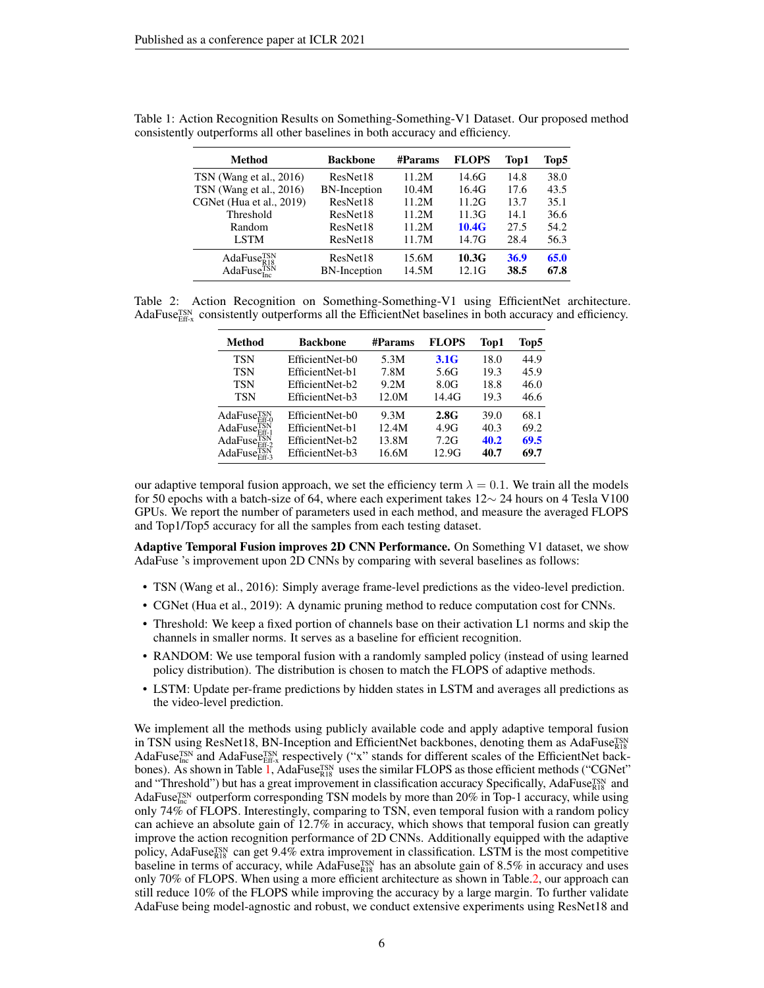<span id="page-5-0"></span>

| <b>Method</b>                         | <b>Backbone</b>     | <b>#Params</b> | <b>FLOPS</b> | Top1 | Top5 |
|---------------------------------------|---------------------|----------------|--------------|------|------|
| TSN (Wang et al., 2016)               | ResNet18            | 11.2M          | 14.6G        | 14.8 | 38.0 |
| TSN (Wang et al., 2016)               | <b>BN-Inception</b> | 10.4M          | 16.4G        | 17.6 | 43.5 |
| CGNet (Hua et al., 2019)              | ResNet18            | 11.2M          | 11.2G        | 13.7 | 35.1 |
| Threshold                             | ResNet18            | 11.2M          | 11.3G        | 14.1 | 36.6 |
| Random                                | ResNet18            | 11.2M          | 10.4G        | 27.5 | 54.2 |
| LSTM                                  | ResNet18            | 11.7M          | 14.7G        | 28.4 | 56.3 |
| AdaFuse <sub>R18</sub> <sup>TSN</sup> | ResNet18            | 15.6M          | 10.3G        | 36.9 | 65.0 |
| AdaFuse <sub>Inc</sub> <sup>TSN</sup> | <b>BN-Inception</b> | 14.5M          | 12.1G        | 38.5 | 67.8 |

Table 1: Action Recognition Results on Something-Something-V1 Dataset. Our proposed method consistently outperforms all other baselines in both accuracy and efficiency.

Table 2: Action Recognition on Something-Something-V1 using EfficientNet architecture. AdaFuse $T_{\text{Eff-x}}^{\text{ISN}}$  consistently outperforms all the EfficientNet baselines in both accuracy and efficiency.

<span id="page-5-1"></span>

| Method                   | Backbone        | #Params | <b>FLOPS</b>     | Top1 | Top5 |
|--------------------------|-----------------|---------|------------------|------|------|
| <b>TSN</b>               | EfficientNet-b0 | 5.3M    | 3.1 <sub>G</sub> | 18.0 | 44.9 |
| TSN                      | EfficientNet-b1 | 7.8M    | 5.6G             | 19.3 | 45.9 |
| <b>TSN</b>               | EfficientNet-b2 | 9.2M    | 8.0G             | 18.8 | 46.0 |
| TSN                      | EfficientNet-b3 | 12.0M   | 14.4G            | 19.3 | 46.6 |
| AdaFuse <sub>Eff-0</sub> | EfficientNet-b0 | 9.3M    | 2.8G             | 39.0 | 68.1 |
| $AdaFuseEff-1TSN$        | EfficientNet-b1 | 12.4M   | 4.9G             | 40.3 | 69.2 |
| AdaFuse <sub>Fff-2</sub> | EfficientNet-b2 | 13.8M   | 7.2G             | 40.2 | 69.5 |
| AdaFuse <sub>Fff-3</sub> | EfficientNet-b3 | 16.6M   | 12.9G            | 40.7 | 69.7 |

our adaptive temporal fusion approach, we set the efficiency term  $\lambda = 0.1$ . We train all the models for 50 epochs with a batch-size of 64, where each experiment takes 12∼ 24 hours on 4 Tesla V100 GPUs. We report the number of parameters used in each method, and measure the averaged FLOPS and Top1/Top5 accuracy for all the samples from each testing dataset.

Adaptive Temporal Fusion improves 2D CNN Performance. On Something V1 dataset, we show AdaFuse 's improvement upon 2D CNNs by comparing with several baselines as follows:

- TSN [\(Wang et al.,](#page-12-3) [2016\)](#page-12-3): Simply average frame-level predictions as the video-level prediction.
- CGNet [\(Hua et al.,](#page-10-13) [2019\)](#page-10-13): A dynamic pruning method to reduce computation cost for CNNs.
- Threshold: We keep a fixed portion of channels base on their activation L1 norms and skip the channels in smaller norms. It serves as a baseline for efficient recognition.
- RANDOM: We use temporal fusion with a randomly sampled policy (instead of using learned policy distribution). The distribution is chosen to match the FLOPS of adaptive methods.
- LSTM: Update per-frame predictions by hidden states in LSTM and averages all predictions as the video-level prediction.

We implement all the methods using publicly available code and apply adaptive temporal fusion in TSN using ResNet18, BN-Inception and EfficientNet backbones, denoting them as AdaFuse $_{\rm NS}^{\rm TSN}$ In 1318 using Resistents, Bry-Inception and Emercial vectories, denoting them as Adaruse<sub>R18</sub> AdaFuse<sub>Inc</sub> and AdaFuse<sub>Inc</sub> respectively ("x" stands for different scales of the EfficientNet back-bones). As shown in Table [1,](#page-5-0) AdaFuse<sup>TSN</sup> uses the similar FLOPS as those efficient methods ("CGNet" and "Threshold") but has a great improvement in classification accuracy Specifically, AdaFuse<sup>TSN</sup> and AdaFuse<sup>TSN</sup> outperform corresponding TSN models by more than 20% in Top-1 accuracy, while using only 74% of FLOPS. Interestingly, comparing to TSN, even temporal fusion with a random policy can achieve an absolute gain of 12.7% in accuracy, which shows that temporal fusion can greatly improve the action recognition performance of 2D CNNs. Additionally equipped with the adaptive policy, AdaFuse<sup>TSN</sup> can get 9.4% extra improvement in classification. LSTM is the most competitive baseline in terms of accuracy, while AdaFuse $_{R18}^{TSN}$  has an absolute gain of 8.5% in accuracy and uses only 70% of FLOPS. When using a more efficient architecture as shown in Table[.2,](#page-5-1) our approach can still reduce 10% of the FLOPS while improving the accuracy by a large margin. To further validate AdaFuse being model-agnostic and robust, we conduct extensive experiments using ResNet18 and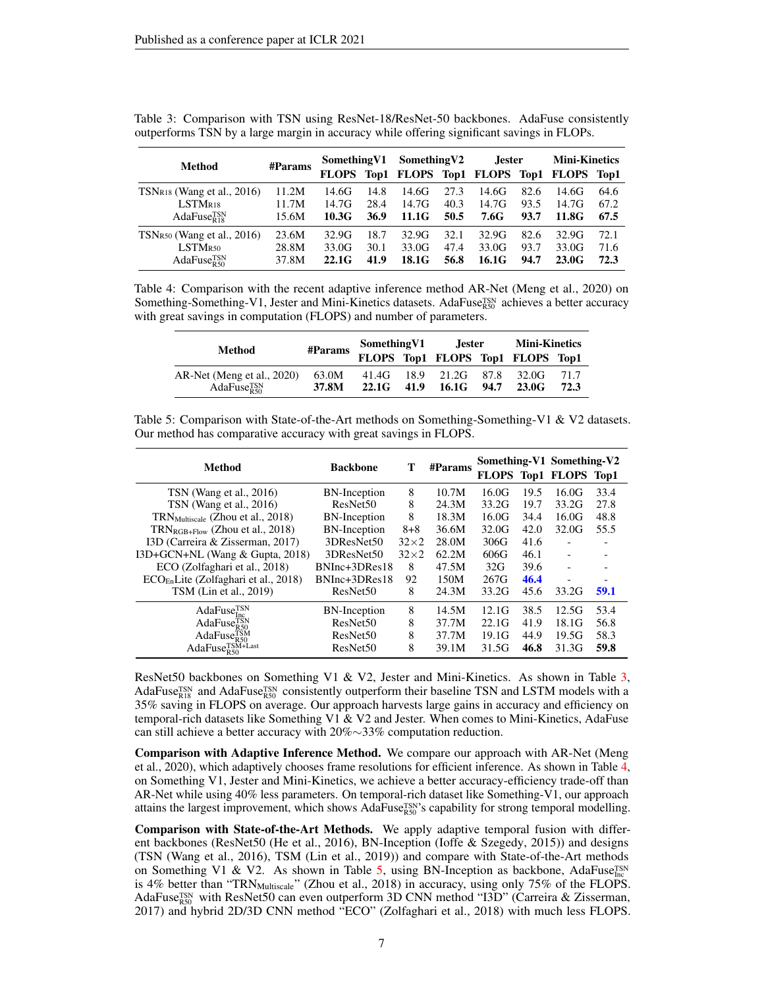| <b>Method</b>                        | Something V1<br>$\#$ Params |       | Something V2 |       | <b>Jester</b> |       | <b>Mini-Kinetics</b> |                                             |      |
|--------------------------------------|-----------------------------|-------|--------------|-------|---------------|-------|----------------------|---------------------------------------------|------|
|                                      |                             |       |              |       |               |       |                      | FLOPS Top1 FLOPS Top1 FLOPS Top1 FLOPS Top1 |      |
| $TSNR18$ (Wang et al., 2016)         | 11.2M                       | 14.6G | 14.8         | 14.6G | 27.3          | 14.6G | 82.6                 | 14.6G                                       | 64.6 |
| LSTM <sub>R18</sub>                  | 11.7M                       | 14.7G | 28.4         | 14.7G | 40.3          | 14.7G | 93.5                 | 14.7G                                       | 67.2 |
| AdaFuse $_{R18}^{TSN}$               | 15.6M                       | 10.3G | 36.9         | 11.1G | 50.5          | 7.6G  | 93.7                 | 11.8G                                       | 67.5 |
| $TSNR50$ (Wang et al., 2016)         | 23.6M                       | 32.9G | 18.7         | 32.9G | 32.1          | 32.9G | 82.6                 | 32.9G                                       | 72.1 |
| $\operatorname{LSTM}_{\mathrm{R50}}$ | 28.8M                       | 33.0G | 30.1         | 33.0G | 47.4          | 33.0G | 93.7                 | 33.0G                                       | 71.6 |
| AdaFuse $_{R50}^{TSN}$               | 37.8M                       | 22.1G | 41.9         | 18.1G | 56.8          | 16.1G | 94.7                 | 23.0G                                       | 72.3 |

<span id="page-6-0"></span>Table 3: Comparison with TSN using ResNet-18/ResNet-50 backbones. AdaFuse consistently outperforms TSN by a large margin in accuracy while offering significant savings in FLOPs.

<span id="page-6-1"></span>Table 4: Comparison with the recent adaptive inference method AR-Net [\(Meng et al.,](#page-11-11) [2020\)](#page-11-11) on Something-Something-V1, Jester and Mini-Kinetics datasets. AdaFuse<sup>TSN</sup> achieves a better accuracy with great savings in computation (FLOPS) and number of parameters.

| Method                     | #Params | Something V1 |      | <b>Jester</b>         |      | <b>Mini-Kinetics</b>             |      |
|----------------------------|---------|--------------|------|-----------------------|------|----------------------------------|------|
|                            |         |              |      |                       |      | FLOPS Top1 FLOPS Top1 FLOPS Top1 |      |
| AR-Net (Meng et al., 2020) | 63.0M   |              |      | 41.4G 18.9 21.2G 87.8 |      | 32.0G                            | 71.7 |
| AdaFuse <sub>R50</sub>     | 37.8M   | 22.1G        | 41.9 | 16.1G                 | 94.7 | 23.0G                            | 72.3 |

<span id="page-6-2"></span>

| Table 5: Comparison with State-of-the-Art methods on Something-Something-V1 & V2 datasets. |
|--------------------------------------------------------------------------------------------|
| Our method has comparative accuracy with great savings in FLOPS.                           |

| Method                                       | <b>Backbone</b>      | Т           | #Params |       |      | Something-V1 Something-V2<br>FLOPS Top1 FLOPS Top1 |                          |
|----------------------------------------------|----------------------|-------------|---------|-------|------|----------------------------------------------------|--------------------------|
| TSN (Wang et al., 2016)                      | BN-Inception         | 8           | 10.7M   | 16.0G | 19.5 | 16.0G                                              | 33.4                     |
| TSN (Wang et al., $2016$ )                   | ResNet <sub>50</sub> | 8           | 24.3M   | 33.2G | 19.7 | 33.2G                                              | 27.8                     |
| $TRN_{\text{Multicale}}$ (Zhou et al., 2018) | BN-Inception         | 8           | 18.3M   | 16.0G | 34.4 | 16.0G                                              | 48.8                     |
| $TRN_{RGB+Flow}$ (Zhou et al., 2018)         | <b>BN-Inception</b>  | $8 + 8$     | 36.6M   | 32.0G | 42.0 | 32.0G                                              | 55.5                     |
| I3D (Carreira & Zisserman, 2017)             | 3DResNet50           | $32\times2$ | 28.0M   | 306G  | 41.6 |                                                    |                          |
| I3D+GCN+NL (Wang $\&$ Gupta, 2018)           | 3DResNet50           | $32\times2$ | 62.2M   | 606G  | 46.1 |                                                    |                          |
| ECO (Zolfaghari et al., 2018)                | BNInc+3DRes18        | 8           | 47.5M   | 32G   | 39.6 |                                                    |                          |
| $ECOEn$ Lite (Zolfaghari et al., 2018)       | BNInc+3DRes18        | 92          | 150M    | 267G  | 46.4 |                                                    | $\overline{\phantom{a}}$ |
| TSM (Lin et al., 2019)                       | ResNet <sub>50</sub> | 8           | 24.3M   | 33.2G | 45.6 | 33.2G                                              | 59.1                     |
| AdaFuse <sub>Inc</sub> <sup>TSN</sup>        | <b>BN-Inception</b>  | 8           | 14.5M   | 12.1G | 38.5 | 12.5G                                              | 53.4                     |
| AdaFuse <sub>R50</sub>                       | ResNet <sub>50</sub> | 8           | 37.7M   | 22.1G | 41.9 | 18.1G                                              | 56.8                     |
| AdaFuse <sub>R50</sub>                       | ResNet <sub>50</sub> | 8           | 37.7M   | 19.1G | 44.9 | 19.5G                                              | 58.3                     |
| AdaFuse <sub>R50</sub>                       | ResNet <sub>50</sub> | 8           | 39.1M   | 31.5G | 46.8 | 31.3G                                              | 59.8                     |

ResNet50 backbones on Something V1 & V2, Jester and Mini-Kinetics. As shown in Table [3,](#page-6-0) AdaFuse<sup>TSN</sup> and AdaFuse<sup>TSN</sup> consistently outperform their baseline TSN and LSTM models with a 35% saving in FLOPS on average. Our approach harvests large gains in accuracy and efficiency on temporal-rich datasets like Something V1 & V2 and Jester. When comes to Mini-Kinetics, AdaFuse can still achieve a better accuracy with 20%∼33% computation reduction.

Comparison with Adaptive Inference Method. We compare our approach with AR-Net [\(Meng](#page-11-11) [et al.,](#page-11-11) [2020\)](#page-11-11), which adaptively chooses frame resolutions for efficient inference. As shown in Table [4,](#page-6-1) on Something V1, Jester and Mini-Kinetics, we achieve a better accuracy-efficiency trade-off than AR-Net while using 40% less parameters. On temporal-rich dataset like Something-V1, our approach attains the largest improvement, which shows AdaFuse<sup>TSN</sup>'s capability for strong temporal modelling.

Comparison with State-of-the-Art Methods. We apply adaptive temporal fusion with different backbones (ResNet50 [\(He et al.,](#page-10-16) [2016\)](#page-10-16), BN-Inception [\(Ioffe & Szegedy,](#page-10-15) [2015\)](#page-10-15)) and designs (TSN [\(Wang et al.,](#page-12-3) [2016\)](#page-12-3), TSM [\(Lin et al.,](#page-11-7) [2019\)](#page-11-7)) and compare with State-of-the-Art methods on Something V1 & V2. As shown in Table [5,](#page-6-2) using BN-Inception as backbone, AdaFuse $_{\text{Inc}}^{\text{TSN}}$ is 4% better than "TRN<sub>Multiscale</sub>" [\(Zhou et al.,](#page-12-4) [2018\)](#page-12-4) in accuracy, using only 75% of the FLOPS. AdaFuse<sup>TSN</sup> with ResNet50 can even outperform 3D CNN method "I3D" [\(Carreira & Zisserman,](#page-9-0) [2017\)](#page-9-0) and hybrid 2D/3D CNN method "ECO" [\(Zolfaghari et al.,](#page-12-14) [2018\)](#page-12-14) with much less FLOPS.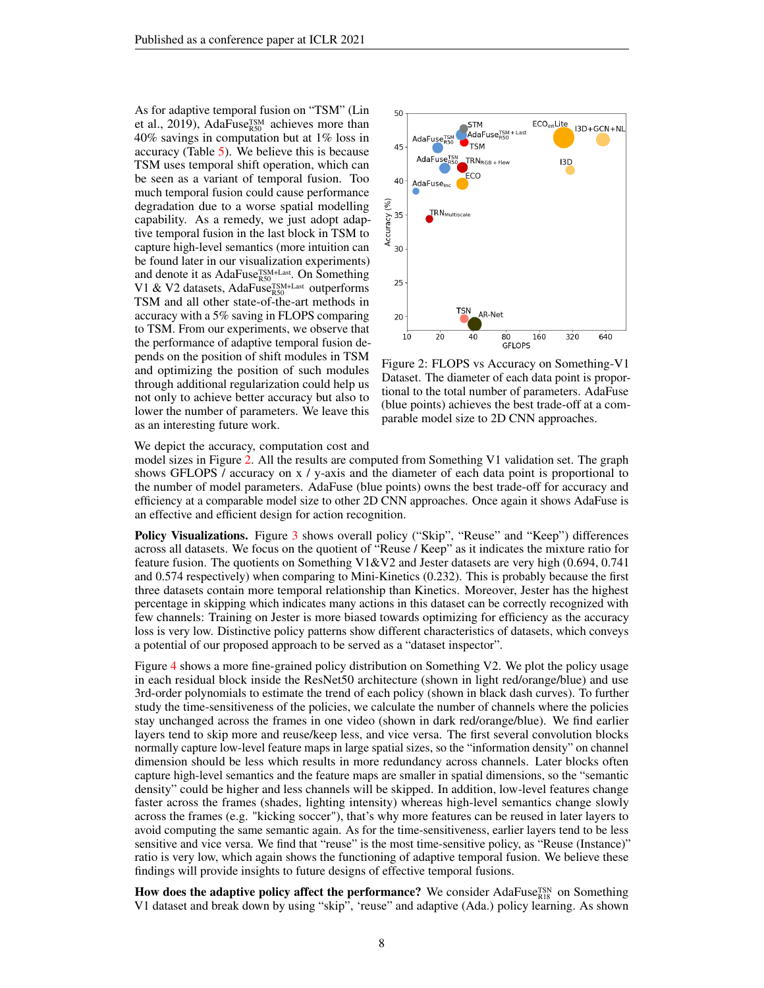As for adaptive temporal fusion on "TSM" [\(Lin](#page-11-7) [et al.,](#page-11-7) [2019\)](#page-11-7), AdaFuse<sup>TSM</sup> achieves more than 40% savings in computation but at 1% loss in accuracy (Table [5\)](#page-6-2). We believe this is because TSM uses temporal shift operation, which can be seen as a variant of temporal fusion. Too much temporal fusion could cause performance degradation due to a worse spatial modelling capability. As a remedy, we just adopt adaptive temporal fusion in the last block in TSM to capture high-level semantics (more intuition can be found later in our visualization experiments) and denote it as AdaFuse<sup>TSM+Last</sup>. On Something V1 & V2 datasets, AdaFuse<sup>TSM+Last</sup> outperforms TSM and all other state-of-the-art methods in accuracy with a 5% saving in FLOPS comparing to TSM. From our experiments, we observe that the performance of adaptive temporal fusion depends on the position of shift modules in TSM and optimizing the position of such modules through additional regularization could help us not only to achieve better accuracy but also to lower the number of parameters. We leave this as an interesting future work.



<span id="page-7-0"></span>Figure 2: FLOPS vs Accuracy on Something-V1 Dataset. The diameter of each data point is proportional to the total number of parameters. AdaFuse (blue points) achieves the best trade-off at a comparable model size to 2D CNN approaches.

We depict the accuracy, computation cost and

model sizes in Figure [2.](#page-7-0) All the results are computed from Something V1 validation set. The graph shows GFLOPS / accuracy on x / y-axis and the diameter of each data point is proportional to the number of model parameters. AdaFuse (blue points) owns the best trade-off for accuracy and efficiency at a comparable model size to other 2D CNN approaches. Once again it shows AdaFuse is an effective and efficient design for action recognition.

Policy Visualizations. Figure [3](#page-8-0) shows overall policy ("Skip", "Reuse" and "Keep") differences across all datasets. We focus on the quotient of "Reuse / Keep" as it indicates the mixture ratio for feature fusion. The quotients on Something V1&V2 and Jester datasets are very high (0.694, 0.741 and 0.574 respectively) when comparing to Mini-Kinetics (0.232). This is probably because the first three datasets contain more temporal relationship than Kinetics. Moreover, Jester has the highest percentage in skipping which indicates many actions in this dataset can be correctly recognized with few channels: Training on Jester is more biased towards optimizing for efficiency as the accuracy loss is very low. Distinctive policy patterns show different characteristics of datasets, which conveys a potential of our proposed approach to be served as a "dataset inspector".

Figure [4](#page-8-1) shows a more fine-grained policy distribution on Something V2. We plot the policy usage in each residual block inside the ResNet50 architecture (shown in light red/orange/blue) and use 3rd-order polynomials to estimate the trend of each policy (shown in black dash curves). To further study the time-sensitiveness of the policies, we calculate the number of channels where the policies stay unchanged across the frames in one video (shown in dark red/orange/blue). We find earlier layers tend to skip more and reuse/keep less, and vice versa. The first several convolution blocks normally capture low-level feature maps in large spatial sizes, so the "information density" on channel dimension should be less which results in more redundancy across channels. Later blocks often capture high-level semantics and the feature maps are smaller in spatial dimensions, so the "semantic density" could be higher and less channels will be skipped. In addition, low-level features change faster across the frames (shades, lighting intensity) whereas high-level semantics change slowly across the frames (e.g. "kicking soccer"), that's why more features can be reused in later layers to avoid computing the same semantic again. As for the time-sensitiveness, earlier layers tend to be less sensitive and vice versa. We find that "reuse" is the most time-sensitive policy, as "Reuse (Instance)" ratio is very low, which again shows the functioning of adaptive temporal fusion. We believe these findings will provide insights to future designs of effective temporal fusions.

How does the adaptive policy affect the performance? We consider AdaFuse<sup>TSN</sup> on Something V1 dataset and break down by using "skip", 'reuse" and adaptive (Ada.) policy learning. As shown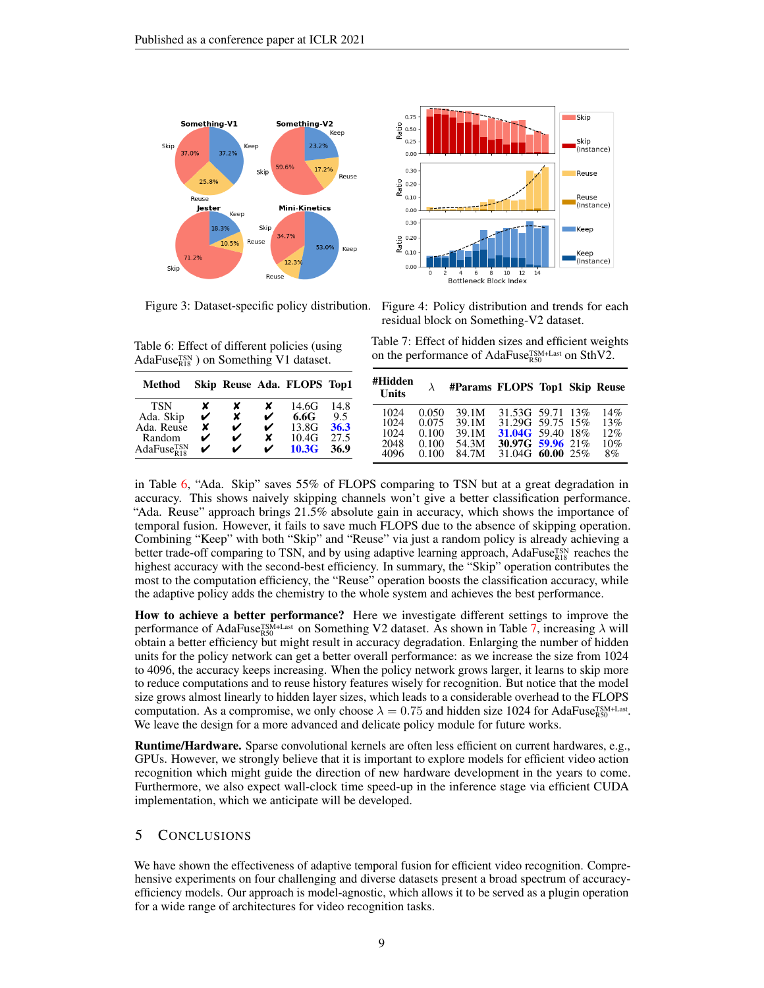

<span id="page-8-0"></span>

<span id="page-8-2"></span>Table 6: Effect of different policies (using AdaFuse $_{R18}^{TSN}$ ) on Something V1 dataset.

| Method                 |   |   |   | Skip Reuse Ada. FLOPS Top1 |      |
|------------------------|---|---|---|----------------------------|------|
| TSN                    | x | x | x | 14.6G                      | 14.8 |
| Ada. Skip              | ✓ | x | ✔ | 6.6G                       | 9.5  |
| Ada. Reuse             | x | ✓ | ✔ | 13.8G                      | 36.3 |
| Random                 | ✓ | ✔ | x | 10.4G                      | 27.5 |
| AdaFuse $_{R18}^{TSN}$ | ✓ | v | ✔ | 10.3G                      | 36.9 |

Figure 3: Dataset-specific policy distribution. Figure 4: Policy distribution and trends for each residual block on Something-V2 dataset.

<span id="page-8-3"></span><span id="page-8-1"></span>Table 7: Effect of hidden sizes and efficient weights on the performance of AdaFuse<sup>TSM+Last</sup> on SthV2.

| #Hidden<br><b>Units</b> |       | #Params FLOPS Top1 Skip Reuse |                         |  |     |
|-------------------------|-------|-------------------------------|-------------------------|--|-----|
| 1024                    | 0.050 | 39.1M                         | 31.53G 59.71 13%        |  | 14% |
| 1024                    | 0.075 | 39.1M                         | 31.29G 59.75 15%        |  | 13% |
| 1024                    | 0.100 | 39.1M                         | <b>31.04G</b> 59.40 18% |  | 12% |
| 2048                    | 0.100 | 54.3M                         | 30.97G 59.96 21%        |  | 10% |
| 4096                    | 0.100 | 84.7M                         | 31.04G 60.00 25%        |  | 8%  |

in Table [6,](#page-8-2) "Ada. Skip" saves 55% of FLOPS comparing to TSN but at a great degradation in accuracy. This shows naively skipping channels won't give a better classification performance. "Ada. Reuse" approach brings 21.5% absolute gain in accuracy, which shows the importance of temporal fusion. However, it fails to save much FLOPS due to the absence of skipping operation. Combining "Keep" with both "Skip" and "Reuse" via just a random policy is already achieving a better trade-off comparing to TSN, and by using adaptive learning approach, AdaFuse<sup>TSN</sup> reaches the highest accuracy with the second-best efficiency. In summary, the "Skip" operation contributes the most to the computation efficiency, the "Reuse" operation boosts the classification accuracy, while the adaptive policy adds the chemistry to the whole system and achieves the best performance.

How to achieve a better performance? Here we investigate different settings to improve the performance of AdaFuse<sup>TSM+Last</sup> on Something V2 dataset. As shown in Table [7,](#page-8-3) increasing  $\lambda$  will obtain a better efficiency but might result in accuracy degradation. Enlarging the number of hidden units for the policy network can get a better overall performance: as we increase the size from 1024 to 4096, the accuracy keeps increasing. When the policy network grows larger, it learns to skip more to reduce computations and to reuse history features wisely for recognition. But notice that the model size grows almost linearly to hidden layer sizes, which leads to a considerable overhead to the FLOPS computation. As a compromise, we only choose  $\lambda = 0.75$  and hidden size 1024 for AdaFuse<sup>TSM+Last</sup>. We leave the design for a more advanced and delicate policy module for future works.

Runtime/Hardware. Sparse convolutional kernels are often less efficient on current hardwares, e.g., GPUs. However, we strongly believe that it is important to explore models for efficient video action recognition which might guide the direction of new hardware development in the years to come. Furthermore, we also expect wall-clock time speed-up in the inference stage via efficient CUDA implementation, which we anticipate will be developed.

# 5 CONCLUSIONS

We have shown the effectiveness of adaptive temporal fusion for efficient video recognition. Comprehensive experiments on four challenging and diverse datasets present a broad spectrum of accuracyefficiency models. Our approach is model-agnostic, which allows it to be served as a plugin operation for a wide range of architectures for video recognition tasks.

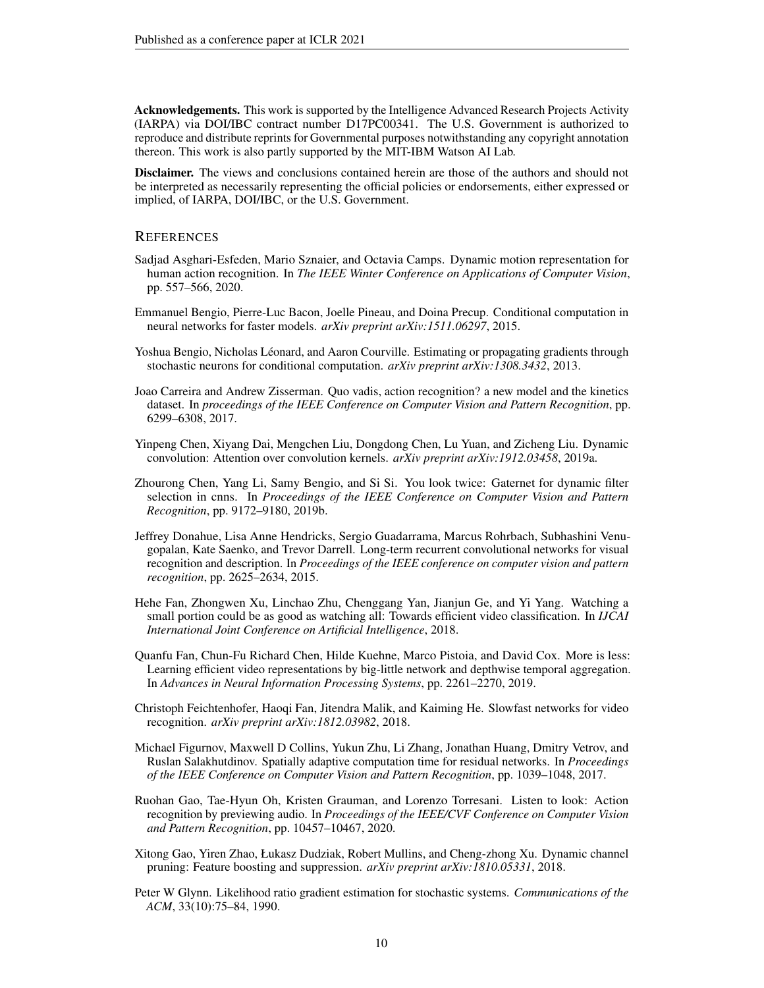Acknowledgements. This work is supported by the Intelligence Advanced Research Projects Activity (IARPA) via DOI/IBC contract number D17PC00341. The U.S. Government is authorized to reproduce and distribute reprints for Governmental purposes notwithstanding any copyright annotation thereon. This work is also partly supported by the MIT-IBM Watson AI Lab.

Disclaimer. The views and conclusions contained herein are those of the authors and should not be interpreted as necessarily representing the official policies or endorsements, either expressed or implied, of IARPA, DOI/IBC, or the U.S. Government.

#### **REFERENCES**

- <span id="page-9-4"></span>Sadjad Asghari-Esfeden, Mario Sznaier, and Octavia Camps. Dynamic motion representation for human action recognition. In *The IEEE Winter Conference on Applications of Computer Vision*, pp. 557–566, 2020.
- <span id="page-9-7"></span>Emmanuel Bengio, Pierre-Luc Bacon, Joelle Pineau, and Doina Precup. Conditional computation in neural networks for faster models. *arXiv preprint arXiv:1511.06297*, 2015.
- <span id="page-9-8"></span>Yoshua Bengio, Nicholas Léonard, and Aaron Courville. Estimating or propagating gradients through stochastic neurons for conditional computation. *arXiv preprint arXiv:1308.3432*, 2013.
- <span id="page-9-0"></span>Joao Carreira and Andrew Zisserman. Quo vadis, action recognition? a new model and the kinetics dataset. In *proceedings of the IEEE Conference on Computer Vision and Pattern Recognition*, pp. 6299–6308, 2017.
- <span id="page-9-10"></span>Yinpeng Chen, Xiyang Dai, Mengchen Liu, Dongdong Chen, Lu Yuan, and Zicheng Liu. Dynamic convolution: Attention over convolution kernels. *arXiv preprint arXiv:1912.03458*, 2019a.
- <span id="page-9-12"></span>Zhourong Chen, Yang Li, Samy Bengio, and Si Si. You look twice: Gaternet for dynamic filter selection in cnns. In *Proceedings of the IEEE Conference on Computer Vision and Pattern Recognition*, pp. 9172–9180, 2019b.
- <span id="page-9-5"></span>Jeffrey Donahue, Lisa Anne Hendricks, Sergio Guadarrama, Marcus Rohrbach, Subhashini Venugopalan, Kate Saenko, and Trevor Darrell. Long-term recurrent convolutional networks for visual recognition and description. In *Proceedings of the IEEE conference on computer vision and pattern recognition*, pp. 2625–2634, 2015.
- <span id="page-9-2"></span>Hehe Fan, Zhongwen Xu, Linchao Zhu, Chenggang Yan, Jianjun Ge, and Yi Yang. Watching a small portion could be as good as watching all: Towards efficient video classification. In *IJCAI International Joint Conference on Artificial Intelligence*, 2018.
- <span id="page-9-3"></span>Quanfu Fan, Chun-Fu Richard Chen, Hilde Kuehne, Marco Pistoia, and David Cox. More is less: Learning efficient video representations by big-little network and depthwise temporal aggregation. In *Advances in Neural Information Processing Systems*, pp. 2261–2270, 2019.
- <span id="page-9-6"></span>Christoph Feichtenhofer, Haoqi Fan, Jitendra Malik, and Kaiming He. Slowfast networks for video recognition. *arXiv preprint arXiv:1812.03982*, 2018.
- <span id="page-9-9"></span>Michael Figurnov, Maxwell D Collins, Yukun Zhu, Li Zhang, Jonathan Huang, Dmitry Vetrov, and Ruslan Salakhutdinov. Spatially adaptive computation time for residual networks. In *Proceedings of the IEEE Conference on Computer Vision and Pattern Recognition*, pp. 1039–1048, 2017.
- <span id="page-9-1"></span>Ruohan Gao, Tae-Hyun Oh, Kristen Grauman, and Lorenzo Torresani. Listen to look: Action recognition by previewing audio. In *Proceedings of the IEEE/CVF Conference on Computer Vision and Pattern Recognition*, pp. 10457–10467, 2020.
- <span id="page-9-11"></span>Xitong Gao, Yiren Zhao, Łukasz Dudziak, Robert Mullins, and Cheng-zhong Xu. Dynamic channel pruning: Feature boosting and suppression. *arXiv preprint arXiv:1810.05331*, 2018.
- <span id="page-9-13"></span>Peter W Glynn. Likelihood ratio gradient estimation for stochastic systems. *Communications of the ACM*, 33(10):75–84, 1990.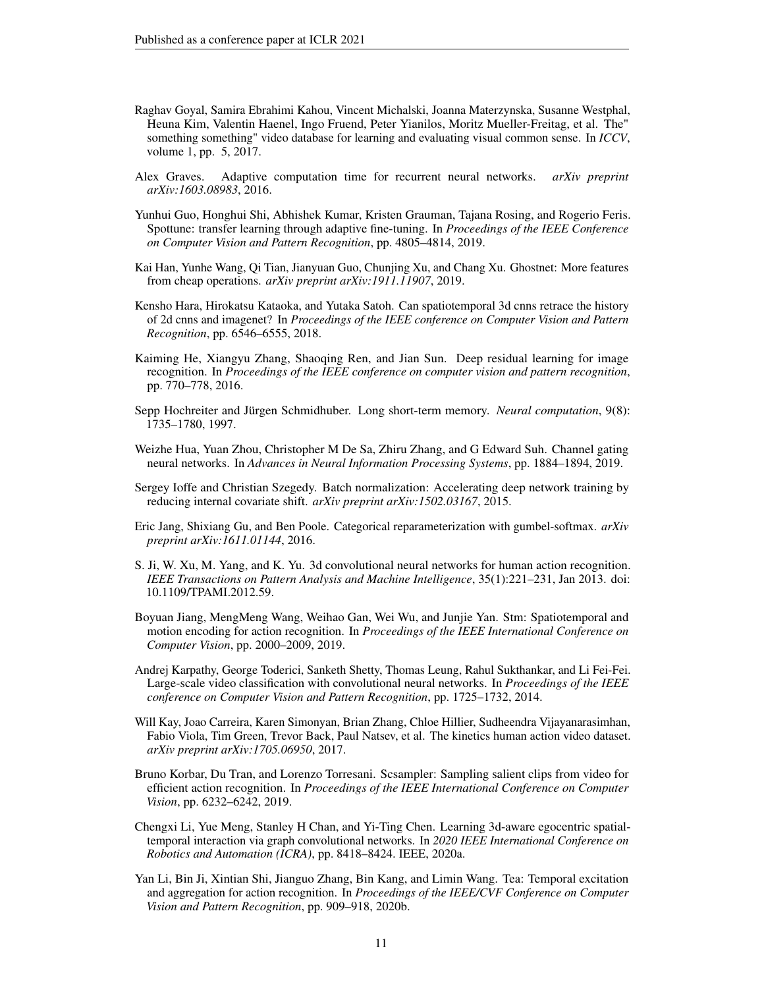- <span id="page-10-0"></span>Raghav Goyal, Samira Ebrahimi Kahou, Vincent Michalski, Joanna Materzynska, Susanne Westphal, Heuna Kim, Valentin Haenel, Ingo Fruend, Peter Yianilos, Moritz Mueller-Freitag, et al. The" something something" video database for learning and evaluating visual common sense. In *ICCV*, volume 1, pp. 5, 2017.
- <span id="page-10-11"></span>Alex Graves. Adaptive computation time for recurrent neural networks. *arXiv preprint arXiv:1603.08983*, 2016.
- <span id="page-10-12"></span>Yunhui Guo, Honghui Shi, Abhishek Kumar, Kristen Grauman, Tajana Rosing, and Rogerio Feris. Spottune: transfer learning through adaptive fine-tuning. In *Proceedings of the IEEE Conference on Computer Vision and Pattern Recognition*, pp. 4805–4814, 2019.
- <span id="page-10-2"></span>Kai Han, Yunhe Wang, Qi Tian, Jianyuan Guo, Chunjing Xu, and Chang Xu. Ghostnet: More features from cheap operations. *arXiv preprint arXiv:1911.11907*, 2019.
- <span id="page-10-6"></span>Kensho Hara, Hirokatsu Kataoka, and Yutaka Satoh. Can spatiotemporal 3d cnns retrace the history of 2d cnns and imagenet? In *Proceedings of the IEEE conference on Computer Vision and Pattern Recognition*, pp. 6546–6555, 2018.
- <span id="page-10-16"></span>Kaiming He, Xiangyu Zhang, Shaoqing Ren, and Jian Sun. Deep residual learning for image recognition. In *Proceedings of the IEEE conference on computer vision and pattern recognition*, pp. 770–778, 2016.
- <span id="page-10-14"></span>Sepp Hochreiter and Jürgen Schmidhuber. Long short-term memory. *Neural computation*, 9(8): 1735–1780, 1997.
- <span id="page-10-13"></span>Weizhe Hua, Yuan Zhou, Christopher M De Sa, Zhiru Zhang, and G Edward Suh. Channel gating neural networks. In *Advances in Neural Information Processing Systems*, pp. 1884–1894, 2019.
- <span id="page-10-15"></span>Sergey Ioffe and Christian Szegedy. Batch normalization: Accelerating deep network training by reducing internal covariate shift. *arXiv preprint arXiv:1502.03167*, 2015.
- <span id="page-10-3"></span>Eric Jang, Shixiang Gu, and Ben Poole. Categorical reparameterization with gumbel-softmax. *arXiv preprint arXiv:1611.01144*, 2016.
- <span id="page-10-8"></span>S. Ji, W. Xu, M. Yang, and K. Yu. 3d convolutional neural networks for human action recognition. *IEEE Transactions on Pattern Analysis and Machine Intelligence*, 35(1):221–231, Jan 2013. doi: 10.1109/TPAMI.2012.59.
- <span id="page-10-9"></span>Boyuan Jiang, MengMeng Wang, Weihao Gan, Wei Wu, and Junjie Yan. Stm: Spatiotemporal and motion encoding for action recognition. In *Proceedings of the IEEE International Conference on Computer Vision*, pp. 2000–2009, 2019.
- <span id="page-10-5"></span>Andrej Karpathy, George Toderici, Sanketh Shetty, Thomas Leung, Rahul Sukthankar, and Li Fei-Fei. Large-scale video classification with convolutional neural networks. In *Proceedings of the IEEE conference on Computer Vision and Pattern Recognition*, pp. 1725–1732, 2014.
- <span id="page-10-4"></span>Will Kay, Joao Carreira, Karen Simonyan, Brian Zhang, Chloe Hillier, Sudheendra Vijayanarasimhan, Fabio Viola, Tim Green, Trevor Back, Paul Natsev, et al. The kinetics human action video dataset. *arXiv preprint arXiv:1705.06950*, 2017.
- <span id="page-10-1"></span>Bruno Korbar, Du Tran, and Lorenzo Torresani. Scsampler: Sampling salient clips from video for efficient action recognition. In *Proceedings of the IEEE International Conference on Computer Vision*, pp. 6232–6242, 2019.
- <span id="page-10-7"></span>Chengxi Li, Yue Meng, Stanley H Chan, and Yi-Ting Chen. Learning 3d-aware egocentric spatialtemporal interaction via graph convolutional networks. In *2020 IEEE International Conference on Robotics and Automation (ICRA)*, pp. 8418–8424. IEEE, 2020a.
- <span id="page-10-10"></span>Yan Li, Bin Ji, Xintian Shi, Jianguo Zhang, Bin Kang, and Limin Wang. Tea: Temporal excitation and aggregation for action recognition. In *Proceedings of the IEEE/CVF Conference on Computer Vision and Pattern Recognition*, pp. 909–918, 2020b.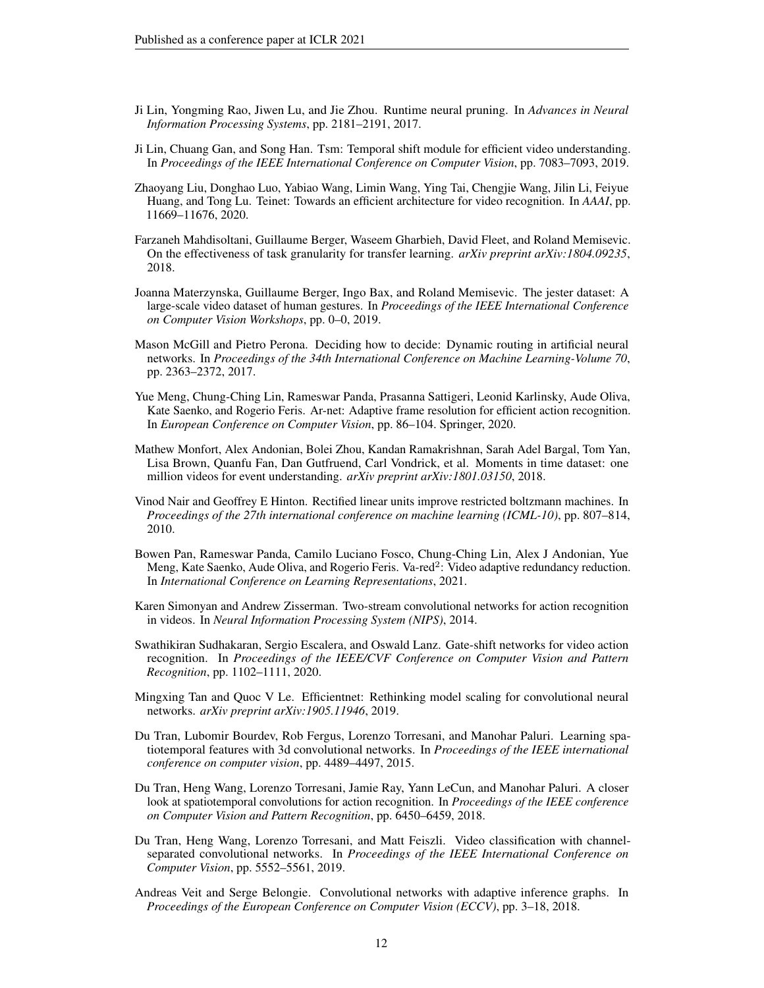- <span id="page-11-14"></span>Ji Lin, Yongming Rao, Jiwen Lu, and Jie Zhou. Runtime neural pruning. In *Advances in Neural Information Processing Systems*, pp. 2181–2191, 2017.
- <span id="page-11-7"></span>Ji Lin, Chuang Gan, and Song Han. Tsm: Temporal shift module for efficient video understanding. In *Proceedings of the IEEE International Conference on Computer Vision*, pp. 7083–7093, 2019.
- <span id="page-11-8"></span>Zhaoyang Liu, Donghao Luo, Yabiao Wang, Limin Wang, Ying Tai, Chengjie Wang, Jilin Li, Feiyue Huang, and Tong Lu. Teinet: Towards an efficient architecture for video recognition. In *AAAI*, pp. 11669–11676, 2020.
- <span id="page-11-3"></span>Farzaneh Mahdisoltani, Guillaume Berger, Waseem Gharbieh, David Fleet, and Roland Memisevic. On the effectiveness of task granularity for transfer learning. *arXiv preprint arXiv:1804.09235*, 2018.
- <span id="page-11-4"></span>Joanna Materzynska, Guillaume Berger, Ingo Bax, and Roland Memisevic. The jester dataset: A large-scale video dataset of human gestures. In *Proceedings of the IEEE International Conference on Computer Vision Workshops*, pp. 0–0, 2019.
- <span id="page-11-13"></span>Mason McGill and Pietro Perona. Deciding how to decide: Dynamic routing in artificial neural networks. In *Proceedings of the 34th International Conference on Machine Learning-Volume 70*, pp. 2363–2372, 2017.
- <span id="page-11-11"></span>Yue Meng, Chung-Ching Lin, Rameswar Panda, Prasanna Sattigeri, Leonid Karlinsky, Aude Oliva, Kate Saenko, and Rogerio Feris. Ar-net: Adaptive frame resolution for efficient action recognition. In *European Conference on Computer Vision*, pp. 86–104. Springer, 2020.
- <span id="page-11-0"></span>Mathew Monfort, Alex Andonian, Bolei Zhou, Kandan Ramakrishnan, Sarah Adel Bargal, Tom Yan, Lisa Brown, Quanfu Fan, Dan Gutfruend, Carl Vondrick, et al. Moments in time dataset: one million videos for event understanding. *arXiv preprint arXiv:1801.03150*, 2018.
- <span id="page-11-15"></span>Vinod Nair and Geoffrey E Hinton. Rectified linear units improve restricted boltzmann machines. In *Proceedings of the 27th international conference on machine learning (ICML-10)*, pp. 807–814, 2010.
- <span id="page-11-12"></span>Bowen Pan, Rameswar Panda, Camilo Luciano Fosco, Chung-Ching Lin, Alex J Andonian, Yue Meng, Kate Saenko, Aude Oliva, and Rogerio Feris. Va-red<sup>2</sup>: Video adaptive redundancy reduction. In *International Conference on Learning Representations*, 2021.
- <span id="page-11-6"></span>Karen Simonyan and Andrew Zisserman. Two-stream convolutional networks for action recognition in videos. In *Neural Information Processing System (NIPS)*, 2014.
- <span id="page-11-9"></span>Swathikiran Sudhakaran, Sergio Escalera, and Oswald Lanz. Gate-shift networks for video action recognition. In *Proceedings of the IEEE/CVF Conference on Computer Vision and Pattern Recognition*, pp. 1102–1111, 2020.
- <span id="page-11-16"></span>Mingxing Tan and Quoc V Le. Efficientnet: Rethinking model scaling for convolutional neural networks. *arXiv preprint arXiv:1905.11946*, 2019.
- <span id="page-11-5"></span>Du Tran, Lubomir Bourdev, Rob Fergus, Lorenzo Torresani, and Manohar Paluri. Learning spatiotemporal features with 3d convolutional networks. In *Proceedings of the IEEE international conference on computer vision*, pp. 4489–4497, 2015.
- <span id="page-11-1"></span>Du Tran, Heng Wang, Lorenzo Torresani, Jamie Ray, Yann LeCun, and Manohar Paluri. A closer look at spatiotemporal convolutions for action recognition. In *Proceedings of the IEEE conference on Computer Vision and Pattern Recognition*, pp. 6450–6459, 2018.
- <span id="page-11-2"></span>Du Tran, Heng Wang, Lorenzo Torresani, and Matt Feiszli. Video classification with channelseparated convolutional networks. In *Proceedings of the IEEE International Conference on Computer Vision*, pp. 5552–5561, 2019.
- <span id="page-11-10"></span>Andreas Veit and Serge Belongie. Convolutional networks with adaptive inference graphs. In *Proceedings of the European Conference on Computer Vision (ECCV)*, pp. 3–18, 2018.